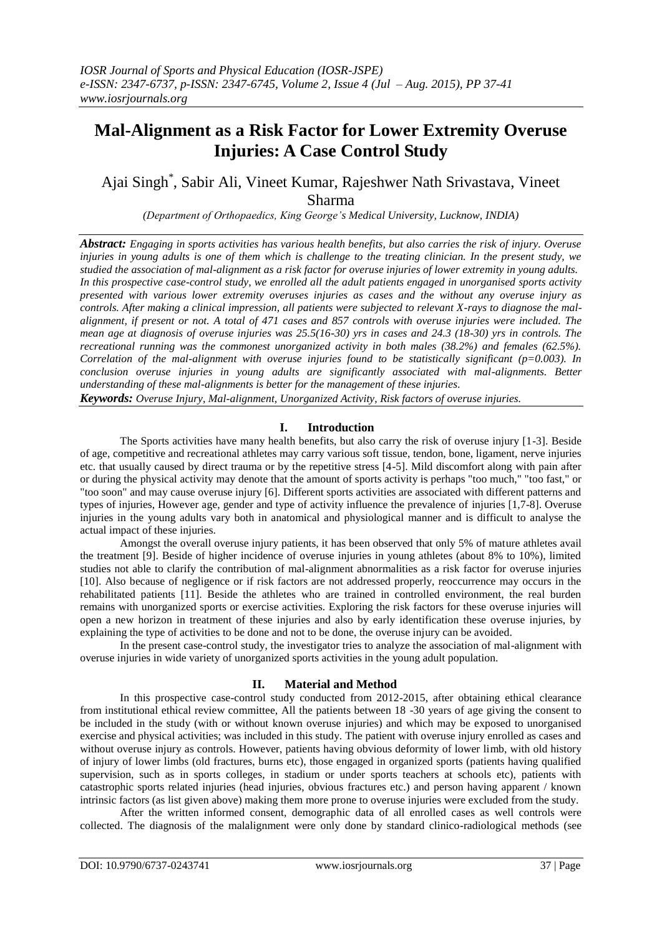# **Mal-Alignment as a Risk Factor for Lower Extremity Overuse Injuries: A Case Control Study**

# Ajai Singh\* , Sabir Ali, Vineet Kumar, Rajeshwer Nath Srivastava, Vineet Sharma

*(Department of Orthopaedics, King George's Medical University, Lucknow, INDIA)*

*Abstract: Engaging in sports activities has various health benefits, but also carries the risk of injury. Overuse injuries in young adults is one of them which is challenge to the treating clinician. In the present study, we studied the association of mal-alignment as a risk factor for overuse injuries of lower extremity in young adults. In this prospective case-control study, we enrolled all the adult patients engaged in unorganised sports activity presented with various lower extremity overuses injuries as cases and the without any overuse injury as controls. After making a clinical impression, all patients were subjected to relevant X-rays to diagnose the malalignment, if present or not. A total of 471 cases and 857 controls with overuse injuries were included. The mean age at diagnosis of overuse injuries was 25.5(16-30) yrs in cases and 24.3 (18-30) yrs in controls. The recreational running was the commonest unorganized activity in both males (38.2%) and females (62.5%). Correlation of the mal-alignment with overuse injuries found to be statistically significant (p=0.003). In conclusion overuse injuries in young adults are significantly associated with mal-alignments. Better understanding of these mal-alignments is better for the management of these injuries.*

*Keywords: Overuse Injury, Mal-alignment, Unorganized Activity, Risk factors of overuse injuries.*

### **I. Introduction**

The Sports activities have many health benefits, but also carry the risk of overuse injury [1-3]. Beside of age, competitive and recreational athletes may carry various soft tissue, tendon, bone, ligament, nerve injuries etc. that usually caused by direct trauma or by the repetitive stress [4-5]. Mild discomfort along with pain after or during the physical activity may denote that the amount of sports activity is perhaps "too much," "too fast," or "too soon" and may cause overuse injury [6]. Different sports activities are associated with different patterns and types of injuries, However age, gender and type of activity influence the prevalence of injuries [1,7-8]. Overuse injuries in the young adults vary both in anatomical and physiological manner and is difficult to analyse the actual impact of these injuries.

Amongst the overall overuse injury patients, it has been observed that only 5% of mature athletes avail the treatment [9]. Beside of higher incidence of overuse injuries in young athletes (about 8% to 10%), limited studies not able to clarify the contribution of mal-alignment abnormalities as a risk factor for overuse injuries [10]. Also because of negligence or if risk factors are not addressed properly, reoccurrence may occurs in the rehabilitated patients [11]. Beside the athletes who are trained in controlled environment, the real burden remains with unorganized sports or exercise activities. Exploring the risk factors for these overuse injuries will open a new horizon in treatment of these injuries and also by early identification these overuse injuries, by explaining the type of activities to be done and not to be done, the overuse injury can be avoided.

In the present case-control study, the investigator tries to analyze the association of mal-alignment with overuse injuries in wide variety of unorganized sports activities in the young adult population.

#### **II. Material and Method**

In this prospective case-control study conducted from 2012-2015, after obtaining ethical clearance from institutional ethical review committee, All the patients between 18 -30 years of age giving the consent to be included in the study (with or without known overuse injuries) and which may be exposed to unorganised exercise and physical activities; was included in this study. The patient with overuse injury enrolled as cases and without overuse injury as controls. However, patients having obvious deformity of lower limb, with old history of injury of lower limbs (old fractures, burns etc), those engaged in organized sports (patients having qualified supervision, such as in sports colleges, in stadium or under sports teachers at schools etc), patients with catastrophic sports related injuries (head injuries, obvious fractures etc.) and person having apparent / known intrinsic factors (as list given above) making them more prone to overuse injuries were excluded from the study.

After the written informed consent, demographic data of all enrolled cases as well controls were collected. The diagnosis of the malalignment were only done by standard clinico-radiological methods (see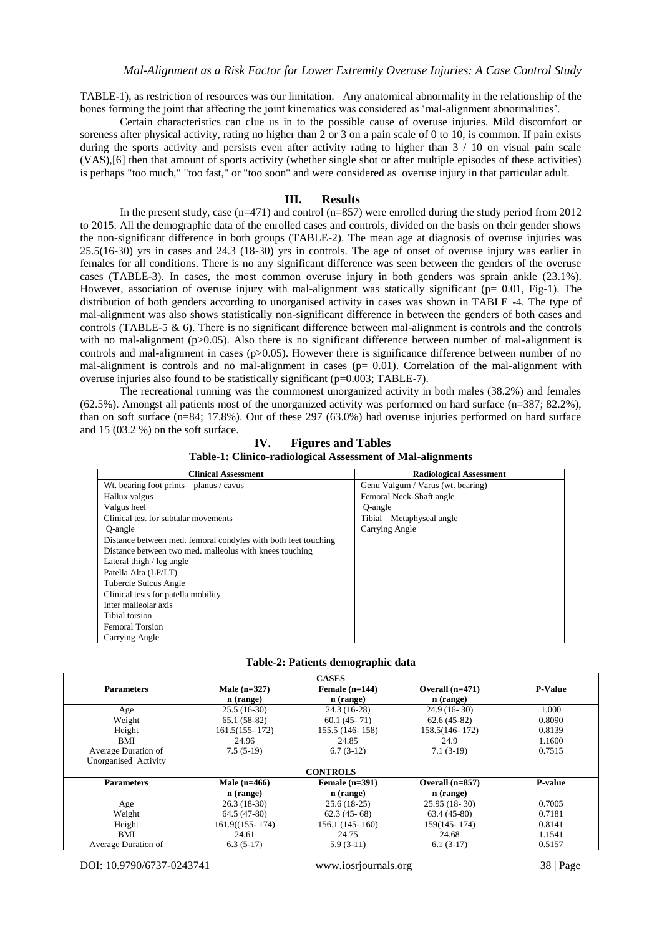TABLE-1), as restriction of resources was our limitation. Any anatomical abnormality in the relationship of the bones forming the joint that affecting the joint kinematics was considered as 'mal-alignment abnormalities'.

Certain characteristics can clue us in to the possible cause of overuse injuries. Mild discomfort or soreness after physical activity, rating no higher than 2 or 3 on a pain scale of 0 to 10, is common. If pain exists during the sports activity and persists even after activity rating to higher than  $3 / 10$  on visual pain scale (VAS),[6] then that amount of sports activity (whether single shot or after multiple episodes of these activities) is perhaps "too much," "too fast," or "too soon" and were considered as overuse injury in that particular adult.

#### **III. Results**

In the present study, case (n=471) and control (n=857) were enrolled during the study period from 2012 to 2015. All the demographic data of the enrolled cases and controls, divided on the basis on their gender shows the non-significant difference in both groups (TABLE-2). The mean age at diagnosis of overuse injuries was 25.5(16-30) yrs in cases and 24.3 (18-30) yrs in controls. The age of onset of overuse injury was earlier in females for all conditions. There is no any significant difference was seen between the genders of the overuse cases (TABLE-3). In cases, the most common overuse injury in both genders was sprain ankle (23.1%). However, association of overuse injury with mal-alignment was statically significant ( $p= 0.01$ , Fig-1). The distribution of both genders according to unorganised activity in cases was shown in TABLE -4. The type of mal-alignment was also shows statistically non-significant difference in between the genders of both cases and controls (TABLE-5  $\&$  6). There is no significant difference between mal-alignment is controls and the controls with no mal-alignment  $(p>0.05)$ . Also there is no significant difference between number of mal-alignment is controls and mal-alignment in cases (p>0.05). However there is significance difference between number of no mal-alignment is controls and no mal-alignment in cases  $(p= 0.01)$ . Correlation of the mal-alignment with overuse injuries also found to be statistically significant (p=0.003; TABLE-7).

The recreational running was the commonest unorganized activity in both males (38.2%) and females (62.5%). Amongst all patients most of the unorganized activity was performed on hard surface (n=387; 82.2%), than on soft surface (n=84; 17.8%). Out of these 297 (63.0%) had overuse injuries performed on hard surface and 15 (03.2 %) on the soft surface.

**IV. Figures and Tables Table-1: Clinico-radiological Assessment of Mal-alignments**

| <b>Clinical Assessment</b>                                     | <b>Radiological Assessment</b>    |
|----------------------------------------------------------------|-----------------------------------|
| Wt. bearing foot prints $-$ planus / cavus                     | Genu Valgum / Varus (wt. bearing) |
| Hallux valgus                                                  | Femoral Neck-Shaft angle          |
| Valgus heel                                                    | O-angle                           |
| Clinical test for subtalar movements                           | Tibial – Metaphyseal angle        |
| O-angle                                                        | Carrying Angle                    |
| Distance between med. femoral condyles with both feet touching |                                   |
| Distance between two med. malleolus with knees touching        |                                   |
| Lateral thigh $\ell$ leg angle                                 |                                   |
| Patella Alta (LP/LT)                                           |                                   |
| Tubercle Sulcus Angle                                          |                                   |
| Clinical tests for patella mobility                            |                                   |
| Inter malleolar axis                                           |                                   |
| Tibial torsion                                                 |                                   |
| <b>Femoral Torsion</b>                                         |                                   |
| Carrying Angle                                                 |                                   |

| Table-2: Patients demographic data |  |  |
|------------------------------------|--|--|
|------------------------------------|--|--|

|                      |                    | <b>CASES</b>      |                   |                |
|----------------------|--------------------|-------------------|-------------------|----------------|
| <b>Parameters</b>    | Male $(n=327)$     | Female $(n=144)$  | Overall $(n=471)$ | <b>P-Value</b> |
|                      | n (range)          | n (range)         | $n$ (range)       |                |
| Age                  | $25.5(16-30)$      | 24.3 (16-28)      | $24.9(16-30)$     | 1.000          |
| Weight               | $65.1(58-82)$      | $60.1(45-71)$     | $62.6(45-82)$     | 0.8090         |
| Height               | $161.5(155 - 172)$ | 155.5 (146-158)   | 158.5(146-172)    | 0.8139         |
| BMI                  | 24.96              | 24.85             | 24.9              | 1.1600         |
| Average Duration of  | $7.5(5-19)$        | $6.7(3-12)$       | $7.1(3-19)$       | 0.7515         |
| Unorganised Activity |                    |                   |                   |                |
|                      |                    | <b>CONTROLS</b>   |                   |                |
| <b>Parameters</b>    | Male $(n=466)$     | Female $(n=391)$  | Overall $(n=857)$ | P-value        |
|                      | n (range)          | $n$ (range)       | n (range)         |                |
| Age                  | $26.3(18-30)$      | $25.6(18-25)$     | $25.95(18-30)$    | 0.7005         |
| Weight               | 64.5 (47-80)       | $62.3(45-68)$     | $63.4(45-80)$     | 0.7181         |
| Height               | $161.9(155 - 174)$ | 156.1 (145 - 160) | 159(145-174)      | 0.8141         |
| BMI                  | 24.61              | 24.75             | 24.68             | 1.1541         |
| Average Duration of  | $6.3(5-17)$        | $5.9(3-11)$       | $6.1(3-17)$       | 0.5157         |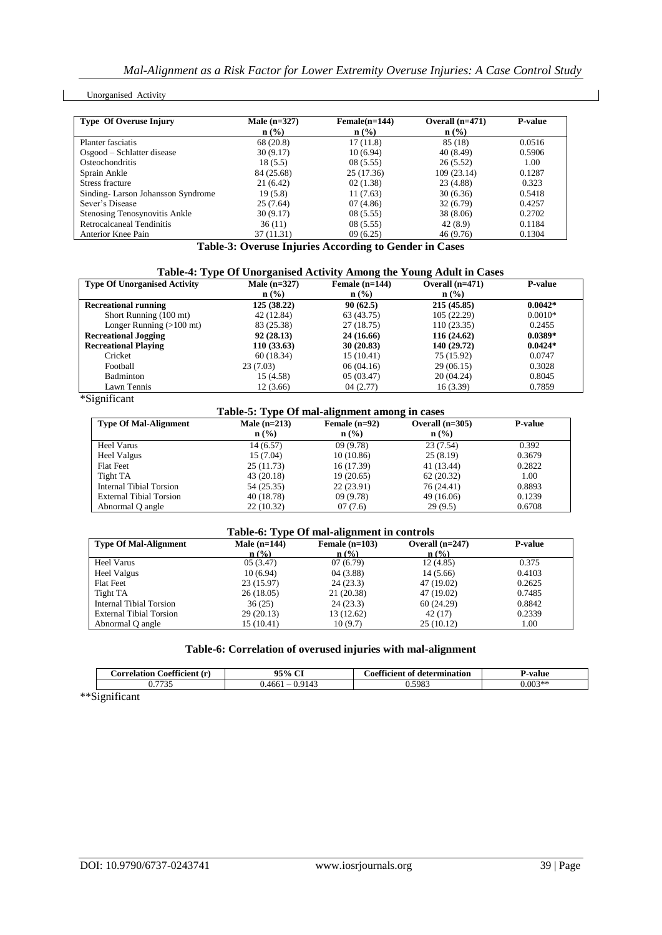#### Unorganised Activity

| <b>Type Of Overuse Injury</b>     | Male $(n=327)$   | $Female(n=144)$  | Overall $(n=471)$ | <b>P-value</b> |
|-----------------------------------|------------------|------------------|-------------------|----------------|
|                                   | $\mathbf{n}(\%)$ | $\mathbf{n}(\%)$ | $\mathbf{n}(\%)$  |                |
| Planter fasciatis                 | 68 (20.8)        | 17(11.8)         | 85 (18)           | 0.0516         |
| Osgood – Schlatter disease        | 30(9.17)         | 10(6.94)         | 40 (8.49)         | 0.5906         |
| Osteochondritis                   | 18(5.5)          | 08(5.55)         | 26(5.52)          | 1.00           |
| Sprain Ankle                      | 84 (25.68)       | 25 (17.36)       | 109 (23.14)       | 0.1287         |
| Stress fracture                   | 21 (6.42)        | 02(1.38)         | 23 (4.88)         | 0.323          |
| Sinding-Larson Johansson Syndrome | 19(5.8)          | 11(7.63)         | 30(6.36)          | 0.5418         |
| Sever's Disease                   | 25(7.64)         | 07(4.86)         | 32(6.79)          | 0.4257         |
| Stenosing Tenosynovitis Ankle     | 30(9.17)         | 08(5.55)         | 38 (8.06)         | 0.2702         |
| Retrocalcaneal Tendinitis         | 36(11)           | 08(5.55)         | 42(8.9)           | 0.1184         |
| Anterior Knee Pain                | 37 (11.31)       | 09(6.25)         | 46 (9.76)         | 0.1304         |

**Table-3: Overuse Injuries According to Gender in Cases**

| Table-4: Type Of Unorganised Activity Among the Young Adult in Cases |                |                  |                   |                |
|----------------------------------------------------------------------|----------------|------------------|-------------------|----------------|
| <b>Type Of Unorganised Activity</b>                                  | Male $(n=327)$ | Female $(n=144)$ | Overall $(n=471)$ | <b>P-value</b> |
|                                                                      | n (% )         | $\mathbf{n}(\%)$ | $n$ (%)           |                |
| <b>Recreational running</b>                                          | 125(38.22)     | 90(62.5)         | 215(45.85)        | $0.0042*$      |
| Short Running (100 mt)                                               | 42 (12.84)     | 63 (43.75)       | 105 (22.29)       | $0.0010*$      |
| Longer Running $(>100 \text{ mt})$                                   | 83 (25.38)     | 27(18.75)        | 110(23.35)        | 0.2455         |
| <b>Recreational Jogging</b>                                          | 92(28.13)      | 24 (16.66)       | 116(24.62)        | $0.0389*$      |
| <b>Recreational Playing</b>                                          | 110(33.63)     | 30(20.83)        | 140 (29.72)       | $0.0424*$      |
| Cricket                                                              | 60(18.34)      | 15(10.41)        | 75 (15.92)        | 0.0747         |

Football 23 (7.03) 06 (04.16) 29 (06.15) 0.3028 Badminton 15 (4.58) 05 (03.47) 20 (04.24) 0.8045

Lawn Tennis 12 (3.66) 04 (2.77) 16 (3.39) 0.7859 \*Significant

| Table-5: Type Of mal-alignment among in cases |                |                  |                   |                |  |
|-----------------------------------------------|----------------|------------------|-------------------|----------------|--|
| <b>Type Of Mal-Alignment</b>                  | Male $(n=213)$ | Female $(n=92)$  | Overall $(n=305)$ | <b>P-value</b> |  |
|                                               | $n$ (%)        | $\mathbf{n}(\%)$ | $n$ (%)           |                |  |
| Heel Varus                                    | 14(6.57)       | 09(9.78)         | 23(7.54)          | 0.392          |  |
| Heel Valgus                                   | 15 (7.04)      | 10(10.86)        | 25(8.19)          | 0.3679         |  |
| <b>Flat Feet</b>                              | 25(11.73)      | 16 (17.39)       | 41 (13.44)        | 0.2822         |  |
| Tight TA                                      | 43 (20.18)     | 19(20.65)        | 62(20.32)         | 1.00           |  |
| Internal Tibial Torsion                       | 54 (25.35)     | 22(23.91)        | 76 (24.41)        | 0.8893         |  |
| <b>External Tibial Torsion</b>                | 40 (18.78)     | 09(9.78)         | 49 (16.06)        | 0.1239         |  |
| Abnormal Q angle                              | 22(10.32)      | 07(7.6)          | 29(9.5)           | 0.6708         |  |

#### **Table-6: Type Of mal-alignment in controls**

| <b>Type Of Mal-Alignment</b> | Male $(n=144)$ | Female $(n=103)$ | Overall $(n=247)$ | <b>P-value</b> |
|------------------------------|----------------|------------------|-------------------|----------------|
|                              | n(%)           | n(%)             | $\mathbf{n}$ (%)  |                |
| Heel Varus                   | 05(3.47)       | 07(6.79)         | 12(4.85)          | 0.375          |
| Heel Valgus                  | 10(6.94)       | 04(3.88)         | 14(5.66)          | 0.4103         |
| <b>Flat Feet</b>             | 23(15.97)      | 24(23.3)         | 47 (19.02)        | 0.2625         |
| Tight TA                     | 26(18.05)      | 21 (20.38)       | 47 (19.02)        | 0.7485         |
| Internal Tibial Torsion      | 36(25)         | 24(23.3)         | 60(24.29)         | 0.8842         |
| External Tibial Torsion      | 29(20.13)      | 13 (12.62)       | 42(17)            | 0.2339         |
| Abnormal Q angle             | 15 (10.41)     | 10(9.7)          | 25(10.12)         | 1.00           |
|                              |                |                  |                   |                |

# **Table-6: Correlation of overused injuries with mal-alignment**

| CO <sup>O</sup><br>`orrolotion<br>$\sqrt{1}$<br>:oefficient | $\sim$<br>95% | $\alpha$<br>`oefficient<br>determination<br>Λt | -value    |
|-------------------------------------------------------------|---------------|------------------------------------------------|-----------|
| $\overline{\phantom{a}}$                                    | 466           | 5983<br>ິ                                      | $0.003**$ |

\*\*Significant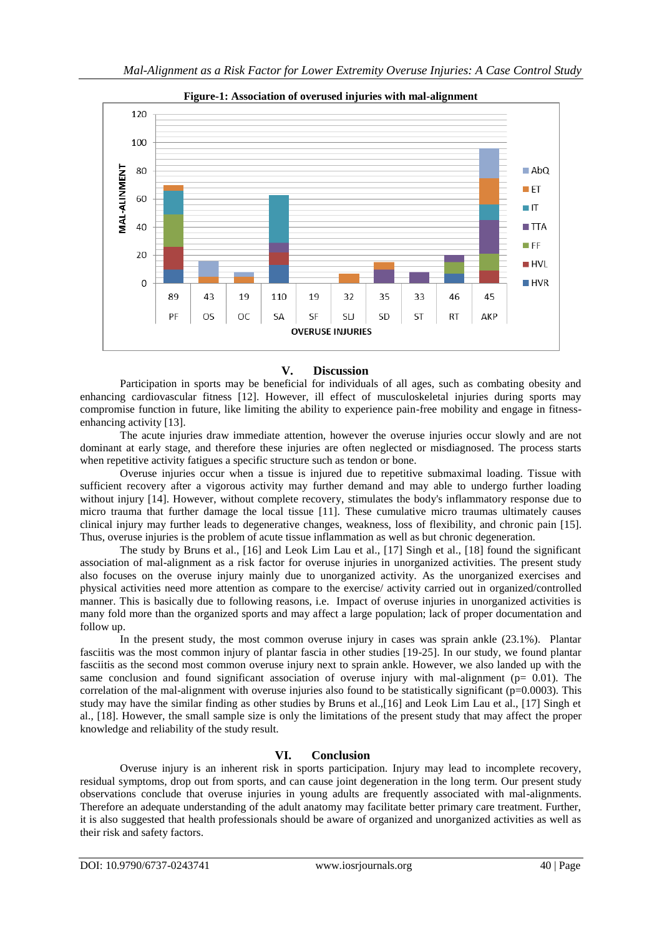

**Figure-1: Association of overused injuries with mal-alignment**

#### **V. Discussion**

Participation in sports may be beneficial for individuals of all ages, such as combating obesity and enhancing cardiovascular fitness [12]. However, ill effect of musculoskeletal injuries during sports may compromise function in future, like limiting the ability to experience pain-free mobility and engage in fitnessenhancing activity [13].

The acute injuries draw immediate attention, however the overuse injuries occur slowly and are not dominant at early stage, and therefore these injuries are often neglected or misdiagnosed. The process starts when repetitive activity fatigues a specific structure such as tendon or bone.

Overuse injuries occur when a tissue is injured due to repetitive submaximal loading. Tissue with sufficient recovery after a vigorous activity may further demand and may able to undergo further loading without injury [14]. However, without complete recovery, stimulates the body's inflammatory response due to micro trauma that further damage the local tissue [11]. These cumulative micro traumas ultimately causes clinical injury may further leads to degenerative changes, weakness, loss of flexibility, and chronic pain [15]. Thus, overuse injuries is the problem of acute tissue inflammation as well as but chronic degeneration.

The study by Bruns et al., [16] and Leok Lim Lau et al., [17] Singh et al., [18] found the significant association of mal-alignment as a risk factor for overuse injuries in unorganized activities. The present study also focuses on the overuse injury mainly due to unorganized activity. As the unorganized exercises and physical activities need more attention as compare to the exercise/ activity carried out in organized/controlled manner. This is basically due to following reasons, i.e. Impact of overuse injuries in unorganized activities is many fold more than the organized sports and may affect a large population; lack of proper documentation and follow up.

In the present study, the most common overuse injury in cases was sprain ankle (23.1%). Plantar fasciitis was the most common injury of plantar fascia in other studies [19-25]. In our study, we found plantar fasciitis as the second most common overuse injury next to sprain ankle. However, we also landed up with the same conclusion and found significant association of overuse injury with mal-alignment ( $p= 0.01$ ). The correlation of the mal-alignment with overuse injuries also found to be statistically significant ( $p=0.0003$ ). This study may have the similar finding as other studies by Bruns et al.,[16] and Leok Lim Lau et al., [17] Singh et al., [18]. However, the small sample size is only the limitations of the present study that may affect the proper knowledge and reliability of the study result.

# **VI. Conclusion**

Overuse injury is an inherent risk in sports participation. Injury may lead to incomplete recovery, residual symptoms, drop out from sports, and can cause joint degeneration in the long term. Our present study observations conclude that overuse injuries in young adults are frequently associated with mal-alignments. Therefore an adequate understanding of the adult anatomy may facilitate better primary care treatment. Further, it is also suggested that health professionals should be aware of organized and unorganized activities as well as their risk and safety factors.